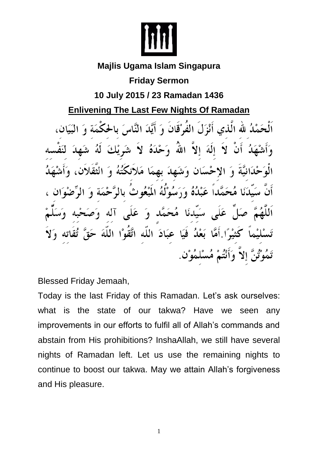

## **Majlis Ugama Islam Singapura**

## **Friday Sermon**

## **10 July 2015 / 23 Ramadan 1436**

**Enlivening The Last Few Nights Of Ramadan**

صَمْدُ لله الَّذِي أَنْزَلَ الفُوْقَانَ وَ أَيَّدَ النَّاسَ بِالحَكْمَةِ وَحْدَهُ لا شَوِيْهِ الله  $\mathbf{y}$  $\left( \bullet \right)$ الَّهَ وَتَشْهَلَهُ بِهِمَا مَّداً عَبْدُهُ وَرَسُوْلُهُ الْمَبْعُوثُ بِالرَّ عَلَى سَىدْنَا مُحَمَّد آله  $\mathbf{a}$ عِبَادَ اللَّه اتَّقَوْا اللَّهَ بَعْدُ فَيَا وَأَنْتُمْ مُسْلِمُوْنٍ

Blessed Friday Jemaah,

Today is the last Friday of this Ramadan. Let's ask ourselves: what is the state of our takwa? Have we seen any improvements in our efforts to fulfil all of Allah's commands and abstain from His prohibitions? InshaAllah, we still have several nights of Ramadan left. Let us use the remaining nights to continue to boost our takwa. May we attain Allah's forgiveness and His pleasure.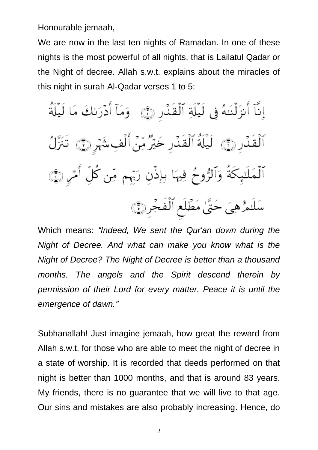Honourable jemaah,

We are now in the last ten nights of Ramadan. In one of these nights is the most powerful of all nights, that is Lailatul Qadar or the Night of decree. Allah s.w.t. explains about the miracles of this night in surah Al-Qadar verses 1 to 5:

إِنَّآ أَنزَلۡنَـٰهُ فِي لَيۡلَةِ ٱلۡقَدۡرِ ۞ ۖ وَمَآ أَدۡرَىٰكَ مَا لَيۡلَةُ ٱلۡقَدۡرِ ۞ لَيۡلَةُ ٱلۡقَدۡرِ خَيۡرٌ مِّنۡ أَلۡفِ شَهۡرِ ۞ تَنَزَّلُ ٱلۡمَلَتِبِكَةُ وَٱلرُّومُ فِيهَا بِإِذۡنِ رَبِّهِم مِّن كُلِّ أَمۡرِ ۞ سَلَدْهِيَ حَتَّىٰ مَطْلَعِ ٱلْفَجْرِدِيِّ

Which means: *"Indeed, We sent the Qur'an down during the Night of Decree. And what can make you know what is the Night of Decree? The Night of Decree is better than a thousand months. The angels and the Spirit descend therein by permission of their Lord for every matter. Peace it is until the emergence of dawn."*

Subhanallah! Just imagine jemaah, how great the reward from Allah s.w.t. for those who are able to meet the night of decree in a state of worship. It is recorded that deeds performed on that night is better than 1000 months, and that is around 83 years. My friends, there is no guarantee that we will live to that age. Our sins and mistakes are also probably increasing. Hence, do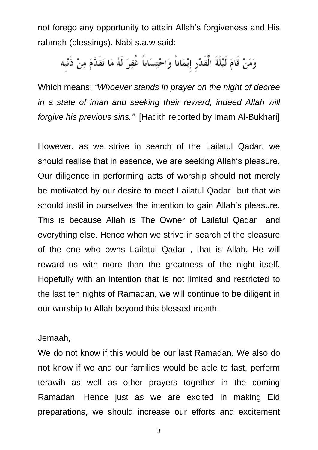not forego any opportunity to attain Allah's forgiveness and His rahmah (blessings). Nabi s.a.w said:

وَمَنْ قَامَ لَيْلَةَ الْقَدْرِ إيْمَاناً وَاحْتِسَاباً غُفِرَ لَهُ مَا تَقَدَّمَ مِنْ ذَنْبِه

Which means: *"Whoever stands in prayer on the night of decree*  in a state of iman and seeking their reward, indeed Allah will *forgive his previous sins."* [Hadith reported by Imam Al-Bukhari]

However, as we strive in search of the Lailatul Qadar, we should realise that in essence, we are seeking Allah's pleasure. Our diligence in performing acts of worship should not merely be motivated by our desire to meet Lailatul Qadar but that we should instil in ourselves the intention to gain Allah's pleasure. This is because Allah is The Owner of Lailatul Qadar and everything else. Hence when we strive in search of the pleasure of the one who owns Lailatul Qadar , that is Allah, He will reward us with more than the greatness of the night itself. Hopefully with an intention that is not limited and restricted to the last ten nights of Ramadan, we will continue to be diligent in our worship to Allah beyond this blessed month.

Jemaah,

We do not know if this would be our last Ramadan. We also do not know if we and our families would be able to fast, perform terawih as well as other prayers together in the coming Ramadan. Hence just as we are excited in making Eid preparations, we should increase our efforts and excitement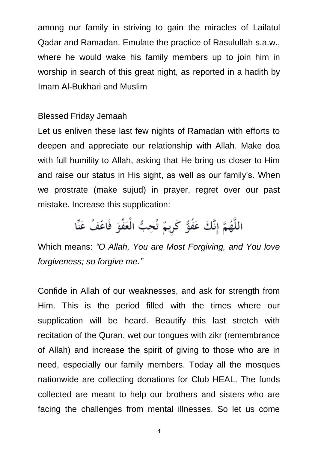among our family in striving to gain the miracles of Lailatul Qadar and Ramadan. Emulate the practice of Rasulullah s.a.w., where he would wake his family members up to join him in worship in search of this great night, as reported in a hadith by Imam Al-Bukhari and Muslim

## Blessed Friday Jemaah

Let us enliven these last few nights of Ramadan with efforts to deepen and appreciate our relationship with Allah. Make doa with full humility to Allah, asking that He bring us closer to Him and raise our status in His sight, as well as our family's. When we prostrate (make sujud) in prayer, regret over our past mistake. Increase this supplication:

اللَّهُمَّ إِنَّكَ عَفُوٌّ كَرِيمٌ تُحِبُّ الْعَفْوَ فَاعْفُ عَنِّا

Which means: *"O Allah, You are Most Forgiving, and You love forgiveness; so forgive me."*

Confide in Allah of our weaknesses, and ask for strength from Him. This is the period filled with the times where our supplication will be heard. Beautify this last stretch with recitation of the Quran, wet our tongues with zikr (remembrance of Allah) and increase the spirit of giving to those who are in need, especially our family members. Today all the mosques nationwide are collecting donations for Club HEAL. The funds collected are meant to help our brothers and sisters who are facing the challenges from mental illnesses. So let us come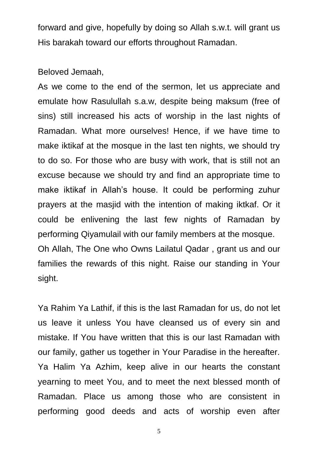forward and give, hopefully by doing so Allah s.w.t. will grant us His barakah toward our efforts throughout Ramadan.

Beloved Jemaah,

As we come to the end of the sermon, let us appreciate and emulate how Rasulullah s.a.w, despite being maksum (free of sins) still increased his acts of worship in the last nights of Ramadan. What more ourselves! Hence, if we have time to make iktikaf at the mosque in the last ten nights, we should try to do so. For those who are busy with work, that is still not an excuse because we should try and find an appropriate time to make iktikaf in Allah's house. It could be performing zuhur prayers at the masjid with the intention of making iktkaf. Or it could be enlivening the last few nights of Ramadan by performing Qiyamulail with our family members at the mosque. Oh Allah, The One who Owns Lailatul Qadar , grant us and our families the rewards of this night. Raise our standing in Your sight.

Ya Rahim Ya Lathif, if this is the last Ramadan for us, do not let us leave it unless You have cleansed us of every sin and mistake. If You have written that this is our last Ramadan with our family, gather us together in Your Paradise in the hereafter. Ya Halim Ya Azhim, keep alive in our hearts the constant yearning to meet You, and to meet the next blessed month of Ramadan. Place us among those who are consistent in performing good deeds and acts of worship even after